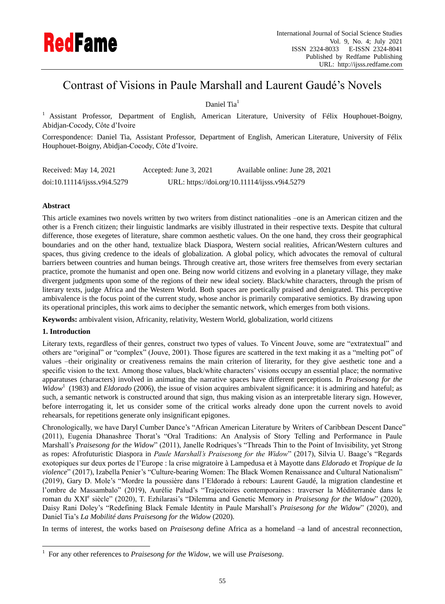

# Contrast of Visions in Paule Marshall and Laurent Gaudé"s Novels

Daniel Tia<sup>1</sup>

 $<sup>1</sup>$  Assistant Professor, Department of English, American Literature, University of Felix Houphouet-Boigny,</sup> Abidjan-Cocody, Côte d"Ivoire

Correspondence: Daniel Tia, Assistant Professor, Department of English, American Literature, University of Félix Houphouet-Boigny, Abidjan-Cocody, Côte d"Ivoire.

| Received: May 14, 2021       | Accepted: June 3, 2021                        | Available online: June 28, 2021 |
|------------------------------|-----------------------------------------------|---------------------------------|
| doi:10.11114/ijsss.v9i4.5279 | URL: https://doi.org/10.11114/ijsss.v9i4.5279 |                                 |

## **Abstract**

This article examines two novels written by two writers from distinct nationalities –one is an American citizen and the other is a French citizen; their linguistic landmarks are visibly illustrated in their respective texts. Despite that cultural difference, those exegetes of literature, share common aesthetic values. On the one hand, they cross their geographical boundaries and on the other hand, textualize black Diaspora, Western social realities, African/Western cultures and spaces, thus giving credence to the ideals of globalization. A global policy, which advocates the removal of cultural barriers between countries and human beings. Through creative art, those writers free themselves from every sectarian practice, promote the humanist and open one. Being now world citizens and evolving in a planetary village, they make divergent judgments upon some of the regions of their new ideal society. Black/white characters, through the prism of literary texts, judge Africa and the Western World. Both spaces are poetically praised and denigrated. This perceptive ambivalence is the focus point of the current study, whose anchor is primarily comparative semiotics. By drawing upon its operational principles, this work aims to decipher the semantic network, which emerges from both visions.

**Keywords:** ambivalent vision, Africanity, relativity, Western World, globalization, world citizens

### **1. Introduction**

 $\overline{a}$ 

Literary texts, regardless of their genres, construct two types of values. To Vincent Jouve, some are "extratextual" and others are "original" or "complex" (Jouve, 2001). Those figures are scattered in the text making it as a "melting pot" of values –their originality or creativeness remains the main criterion of literarity, for they give aesthetic tone and a specific vision to the text. Among those values, black/white characters' visions occupy an essential place; the normative apparatuses (characters) involved in animating the narrative spaces have different perceptions. In *Praisesong for the*  Widow<sup>1</sup> (1983) and *Eldorado* (2006), the issue of vision acquires ambivalent significance: it is admiring and hateful; as such, a semantic network is constructed around that sign, thus making vision as an interpretable literary sign. However, before interrogating it, let us consider some of the critical works already done upon the current novels to avoid rehearsals, for repetitions generate only insignificant epigones.

Chronologically, we have Daryl Cumber Dance"s "African American Literature by Writers of Caribbean Descent Dance" (2011), Eugenia Dhanashree Thorat"s "Oral Traditions: An Analysis of Story Telling and Performance in Paule Marshall's *Praisesong for the Widow*" (2011), Janelle Rodriques's "Threads Thin to the Point of Invisibility, yet Strong as ropes: Afrofuturistic Diaspora in *Paule Marshall's Praisesong for the Widow*" (2017), Silvia U. Baage's "Regards exotopiques sur deux portes de l"Europe : la crise migratoire à Lampedusa et à Mayotte dans *Eldorado* et *Tropique de la violence*" (2017), Izabella Penier"s "Culture-bearing Women: The Black Women Renaissance and Cultural Nationalism" (2019), Gary D. Mole"s "Mordre la poussière dans l"Eldorado à rebours: Laurent Gaudé, la migration clandestine et l'ombre de Massambalo" (2019), Aurélie Palud's "Trajectoires contemporaines : traverser la Méditerranée dans le roman du XXI<sup>e</sup> siècle" (2020), T. Ezhilarasi's "Dilemma and Genetic Memory in *Praisesong for the Widow*" (2020), Daisy Rani Doley"s "Redefining Black Female Identity in Paule Marshall"s *Praisesong for the Widow*" (2020), and Daniel Tia"s *La Mobilité dans Praisesong for the Widow* (2020).

In terms of interest, the works based on *Praisesong* define Africa as a homeland –a land of ancestral reconnection,

<sup>1</sup> For any other references to *Praisesong for the Widow*, we will use *Praisesong*.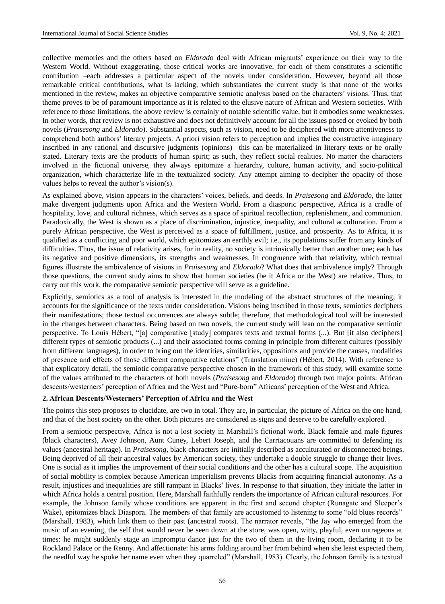collective memories and the others based on *Eldorado* deal with African migrants" experience on their way to the Western World. Without exaggerating, those critical works are innovative, for each of them constitutes a scientific contribution –each addresses a particular aspect of the novels under consideration. However, beyond all those remarkable critical contributions, what is lacking, which substantiates the current study is that none of the works mentioned in the review, makes an objective comparative semiotic analysis based on the characters" visions. Thus, that theme proves to be of paramount importance as it is related to the elusive nature of African and Western societies. With reference to those limitations, the above review is certainly of notable scientific value, but it embodies some weaknesses. In other words, that review is not exhaustive and does not definitively account for all the issues posed or evoked by both novels (*Praisesong* and *Eldorado*). Substantial aspects, such as vision, need to be deciphered with more attentiveness to comprehend both authors" literary projects. A priori vision refers to perception and implies the constructive imaginary inscribed in any rational and discursive judgments (opinions) –this can be materialized in literary texts or be orally stated. Literary texts are the products of human spirit; as such, they reflect social realities. No matter the characters involved in the fictional universe, they always epitomize a hierarchy, culture, human activity, and socio-political organization, which characterize life in the textualized society. Any attempt aiming to decipher the opacity of those values helps to reveal the author's vision(s).

As explained above, vision appears in the characters" voices, beliefs, and deeds. In *Praisesong* and *Eldorado*, the latter make divergent judgments upon Africa and the Western World. From a diasporic perspective, Africa is a cradle of hospitality, love, and cultural richness, which serves as a space of spiritual recollection, replenishment, and communion. Paradoxically, the West is shown as a place of discrimination, injustice, inequality, and cultural acculturation. From a purely African perspective, the West is perceived as a space of fulfillment, justice, and prosperity. As to Africa, it is qualified as a conflicting and poor world, which epitomizes an earthly evil; i.e., its populations suffer from any kinds of difficulties. Thus, the issue of relativity arises, for in reality, no society is intrinsically better than another one; each has its negative and positive dimensions, its strengths and weaknesses. In congruence with that relativity, which textual figures illustrate the ambivalence of visions in *Praisesong* and *Eldorado*? What does that ambivalence imply? Through those questions, the current study aims to show that human societies (be it Africa or the West) are relative. Thus, to carry out this work, the comparative semiotic perspective will serve as a guideline.

Explicitly, semiotics as a tool of analysis is interested in the modeling of the abstract structures of the meaning; it accounts for the significance of the texts under consideration. Visions being inscribed in those texts, semiotics deciphers their manifestations; those textual occurrences are always subtle; therefore, that methodological tool will be interested in the changes between characters. Being based on two novels, the current study will lean on the comparative semiotic perspective. To Louis Hébert, "[a] comparative [study] compares texts and textual forms (...). But [it also deciphers] different types of semiotic products (...) and their associated forms coming in principle from different cultures (possibly from different languages), in order to bring out the identities, similarities, oppositions and provide the causes, modalities of presence and effects of those different comparative relations" (Translation mine) (Hébert, 2014). With reference to that explicatory detail, the semiotic comparative perspective chosen in the framework of this study, will examine some of the values attributed to the characters of both novels (*Praisesong* and *Eldorado*) through two major points: African descents/westerners" perception of Africa and the West and "Pure-born" Africans" perception of the West and Africa.

#### **2. African Descents/Westerners' Perception of Africa and the West**

The points this step proposes to elucidate, are two in total. They are, in particular, the picture of Africa on the one hand, and that of the host society on the other. Both pictures are considered as signs and deserve to be carefully explored.

From a semiotic perspective, Africa is not a lost society in Marshall"s fictional work. Black female and male figures (black characters), Avey Johnson, Aunt Cuney, Lebert Joseph, and the Carriacouans are committed to defending its values (ancestral heritage). In *Praisesong*, black characters are initially described as acculturated or disconnected beings. Being deprived of all their ancestral values by American society, they undertake a double struggle to change their lives. One is social as it implies the improvement of their social conditions and the other has a cultural scope. The acquisition of social mobility is complex because American imperialism prevents Blacks from acquiring financial autonomy. As a result, injustices and inequalities are still rampant in Blacks" lives. In response to that situation, they initiate the latter in which Africa holds a central position. Here, Marshall faithfully renders the importance of African cultural resources. For example, the Johnson family whose conditions are apparent in the first and second chapter (Runagate and Sleeper"s Wake), epitomizes black Diaspora. The members of that family are accustomed to listening to some "old blues records" (Marshall, 1983), which link them to their past (ancestral roots). The narrator reveals, "the Jay who emerged from the music of an evening, the self that would never be seen down at the store, was open, witty, playful, even outrageous at times: he might suddenly stage an impromptu dance just for the two of them in the living room, declaring it to be Rockland Palace or the Renny. And affectionate: his arms folding around her from behind when she least expected them, the needful way he spoke her name even when they quarreled" (Marshall, 1983). Clearly, the Johnson family is a textual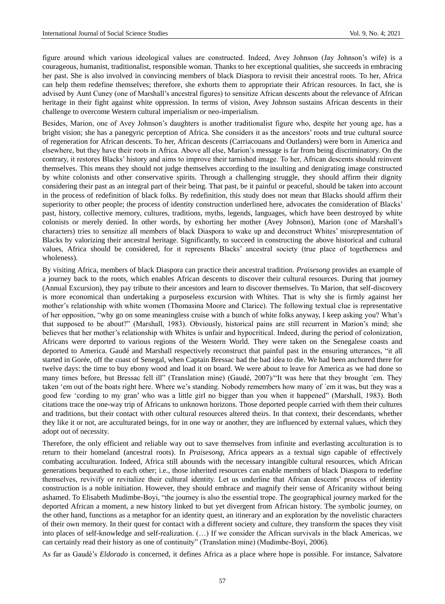figure around which various ideological values are constructed. Indeed, Avey Johnson (Jay Johnson"s wife) is a courageous, humanist, traditionalist, responsible woman. Thanks to her exceptional qualities, she succeeds in embracing her past. She is also involved in convincing members of black Diaspora to revisit their ancestral roots. To her, Africa can help them redefine themselves; therefore, she exhorts them to appropriate their African resources. In fact, she is advised by Aunt Cuney (one of Marshall"s ancestral figures) to sensitize African descents about the relevance of African heritage in their fight against white oppression. In terms of vision, Avey Johnson sustains African descents in their challenge to overcome Western cultural imperialism or neo-imperialism.

Besides, Marion, one of Avey Johnson"s daughters is another traditionalist figure who, despite her young age, has a bright vision; she has a panegyric perception of Africa. She considers it as the ancestors" roots and true cultural source of regeneration for African descents. To her, African descents (Carriacouans and Outlanders) were born in America and elsewhere, but they have their roots in Africa. Above all else, Marion"s message is far from being discriminatory. On the contrary, it restores Blacks" history and aims to improve their tarnished image. To her, African descents should reinvent themselves. This means they should not judge themselves according to the insulting and denigrating image constructed by white colonists and other conservative spirits. Through a challenging struggle, they should affirm their dignity considering their past as an integral part of their being. That past, be it painful or peaceful, should be taken into account in the process of redefinition of black folks. By redefinition, this study does not mean that Blacks should affirm their superiority to other people; the process of identity construction underlined here, advocates the consideration of Blacks' past, history, collective memory, cultures, traditions, myths, legends, languages, which have been destroyed by white colonists or merely denied. In other words, by exhorting her mother (Avey Johnson), Marion (one of Marshall"s characters) tries to sensitize all members of black Diaspora to wake up and deconstruct Whites" misrepresentation of Blacks by valorizing their ancestral heritage. Significantly, to succeed in constructing the above historical and cultural values, Africa should be considered, for it represents Blacks" ancestral society (true place of togetherness and wholeness).

By visiting Africa, members of black Diaspora can practice their ancestral tradition. *Praisesong* provides an example of a journey back to the roots, which enables African descents to discover their cultural resources. During that journey (Annual Excursion), they pay tribute to their ancestors and learn to discover themselves. To Marion, that self-discovery is more economical than undertaking a purposeless excursion with Whites. That is why she is firmly against her mother"s relationship with white women (Thomasina Moore and Clarice). The following textual clue is representative of her opposition, "why go on some meaningless cruise with a bunch of white folks anyway, I keep asking you? What"s that supposed to be about?" (Marshall, 1983). Obviously, historical pains are still recurrent in Marion"s mind; she believes that her mother"s relationship with Whites is unfair and hypocritical. Indeed, during the period of colonization, Africans were deported to various regions of the Western World. They were taken on the Senegalese coasts and deported to America. Gaudé and Marshall respectively reconstruct that painful past in the ensuring utterances, "it all started in Gorée, off the coast of Senegal, when Captain Bressac had the bad idea to die. We had been anchored there for twelve days: the time to buy ebony wood and load it on board. We were about to leave for America as we had done so many times before, but Bressac fell ill" (Translation mine) (Gaudé, 2007)<sup>"</sup>It was here that they brought <sup>'</sup>em. They taken 'em out of the boats right here. Where we's standing. Nobody remembers how many of 'em it was, but they was a good few "cording to my gran" who was a little girl no bigger than you when it happened" (Marshall, 1983). Both citations trace the one-way trip of Africans to unknown horizons. Those deported people carried with them their cultures and traditions, but their contact with other cultural resources altered theirs. In that context, their descendants, whether they like it or not, are acculturated beings, for in one way or another, they are influenced by external values, which they adopt out of necessity.

Therefore, the only efficient and reliable way out to save themselves from infinite and everlasting acculturation is to return to their homeland (ancestral roots). In *Praisesong*, Africa appears as a textual sign capable of effectively combating acculturation. Indeed, Africa still abounds with the necessary intangible cultural resources, which African generations bequeathed to each other; i.e., those inherited resources can enable members of black Diaspora to redefine themselves, revivify or revitalize their cultural identity. Let us underline that African descents" process of identity construction is a noble initiation. However, they should embrace and magnify their sense of Africanity without being ashamed. To Elisabeth Mudimbe-Boyi, "the journey is also the essential trope. The geographical journey marked for the deported African a moment, a new history linked to but yet divergent from African history. The symbolic journey, on the other hand, functions as a metaphor for an identity quest, an itinerary and an exploration by the novelistic characters of their own memory. In their quest for contact with a different society and culture, they transform the spaces they visit into places of self-knowledge and self-realization. (…) If we consider the African survivals in the black Americas, we can certainly read their history as one of continuity" (Translation mine) (Mudimbe-Boyi, 2006).

As far as Gaudé"s *Eldorado* is concerned, it defines Africa as a place where hope is possible. For instance, Salvatore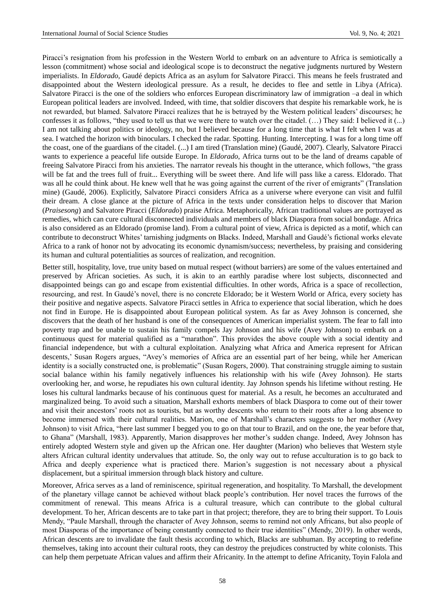Piracci"s resignation from his profession in the Western World to embark on an adventure to Africa is semiotically a lesson (commitment) whose social and ideological scope is to deconstruct the negative judgments nurtured by Western imperialists. In *Eldorado*, Gaudé depicts Africa as an asylum for Salvatore Piracci. This means he feels frustrated and disappointed about the Western ideological pressure. As a result, he decides to flee and settle in Libya (Africa). Salvatore Piracci is the one of the soldiers who enforces European discriminatory law of immigration –a deal in which European political leaders are involved. Indeed, with time, that soldier discovers that despite his remarkable work, he is not rewarded, but blamed. Salvatore Piracci realizes that he is betrayed by the Western political leaders" discourses; he confesses it as follows, "they used to tell us that we were there to watch over the citadel. (…) They said: I believed it (...) I am not talking about politics or ideology, no, but I believed because for a long time that is what I felt when I was at sea. I watched the horizon with binoculars. I checked the radar. Spotting. Hunting. Intercepting. I was for a long time off the coast, one of the guardians of the citadel. (...) I am tired (Translation mine) (Gaudé, 2007). Clearly, Salvatore Piracci wants to experience a peaceful life outside Europe. In *Eldorado*, Africa turns out to be the land of dreams capable of freeing Salvatore Piracci from his anxieties. The narrator reveals his thought in the utterance, which follows, "the grass will be fat and the trees full of fruit... Everything will be sweet there. And life will pass like a caress. Eldorado. That was all he could think about. He knew well that he was going against the current of the river of emigrants" (Translation mine) (Gaudé, 2006). Explicitly, Salvatore Piracci considers Africa as a universe where everyone can visit and fulfil their dream. A close glance at the picture of Africa in the texts under consideration helps to discover that Marion (*Praisesong*) and Salvatore Piracci (*Eldorado*) praise Africa. Metaphorically, African traditional values are portrayed as remedies, which can cure cultural disconnected individuals and members of black Diaspora from social bondage. Africa is also considered as an Eldorado (promise land). From a cultural point of view, Africa is depicted as a motif, which can contribute to deconstruct Whites" tarnishing judgments on Blacks. Indeed, Marshall and Gaudé"s fictional works elevate Africa to a rank of honor not by advocating its economic dynamism/success; nevertheless, by praising and considering its human and cultural potentialities as sources of realization, and recognition.

Better still, hospitality, love, true unity based on mutual respect (without barriers) are some of the values entertained and preserved by African societies. As such, it is akin to an earthly paradise where lost subjects, disconnected and disappointed beings can go and escape from existential difficulties. In other words, Africa is a space of recollection, resourcing, and rest. In Gaudé"s novel, there is no concrete Eldorado; be it Western World or Africa, every society has their positive and negative aspects. Salvatore Piracci settles in Africa to experience that social liberation, which he does not find in Europe. He is disappointed about European political system. As far as Avey Johnson is concerned, she discovers that the death of her husband is one of the consequences of American imperialist system. The fear to fall into poverty trap and be unable to sustain his family compels Jay Johnson and his wife (Avey Johnson) to embark on a continuous quest for material qualified as a "marathon". This provides the above couple with a social identity and financial independence, but with a cultural exploitation. Analyzing what Africa and America represent for African descents," Susan Rogers argues, "Avey"s memories of Africa are an essential part of her being, while her American identity is a socially constructed one, is problematic" (Susan Rogers, 2000). That constraining struggle aiming to sustain social balance within his family negatively influences his relationship with his wife (Avey Johnson). He starts overlooking her, and worse, he repudiates his own cultural identity. Jay Johnson spends his lifetime without resting. He loses his cultural landmarks because of his continuous quest for material. As a result, he becomes an acculturated and marginalized being. To avoid such a situation, Marshall exhorts members of black Diaspora to come out of their tower and visit their ancestors" roots not as tourists, but as worthy descents who return to their roots after a long absence to become immersed with their cultural realities. Marion, one of Marshall"s characters suggests to her mother (Avey Johnson) to visit Africa, "here last summer I begged you to go on that tour to Brazil, and on the one, the year before that, to Ghana" (Marshall, 1983). Apparently, Marion disapproves her mother"s sudden change. Indeed, Avey Johnson has entirely adopted Western style and given up the African one. Her daughter (Marion) who believes that Western style alters African cultural identity undervalues that attitude. So, the only way out to refuse acculturation is to go back to Africa and deeply experience what is practiced there. Marion"s suggestion is not necessary about a physical displacement, but a spiritual immersion through black history and culture.

Moreover, Africa serves as a land of reminiscence, spiritual regeneration, and hospitality. To Marshall, the development of the planetary village cannot be achieved without black people"s contribution. Her novel traces the furrows of the commitment of renewal. This means Africa is a cultural treasure, which can contribute to the global cultural development. To her, African descents are to take part in that project; therefore, they are to bring their support. To Louis Mendy, "Paule Marshall, through the character of Avey Johnson, seems to remind not only Africans, but also people of most Diasporas of the importance of being constantly connected to their true identities" (Mendy, 2019). In other words, African descents are to invalidate the fault thesis according to which, Blacks are subhuman. By accepting to redefine themselves, taking into account their cultural roots, they can destroy the prejudices constructed by white colonists. This can help them perpetuate African values and affirm their Africanity. In the attempt to define Africanity, Toyin Falola and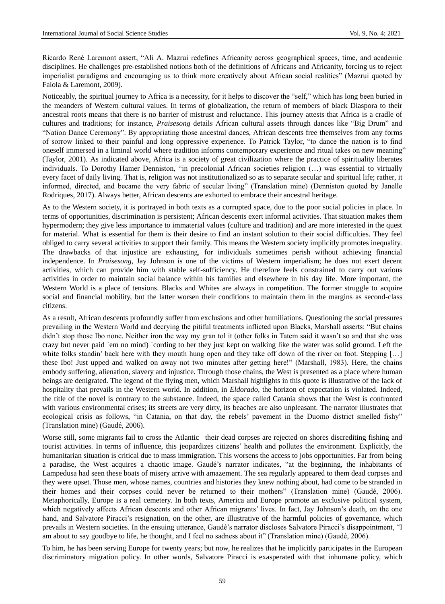Ricardo René Laremont assert, "Ali A. Mazrui redefines Africanity across geographical spaces, time, and academic disciplines. He challenges pre-established notions both of the definitions of Africans and Africanity, forcing us to reject imperialist paradigms and encouraging us to think more creatively about African social realities" (Mazrui quoted by Falola & Laremont, 2009).

Noticeably, the spiritual journey to Africa is a necessity, for it helps to discover the "self," which has long been buried in the meanders of Western cultural values. In terms of globalization, the return of members of black Diaspora to their ancestral roots means that there is no barrier of mistrust and reluctance. This journey attests that Africa is a cradle of cultures and traditions; for instance, *Praisesong* details African cultural assets through dances like "Big Drum" and "Nation Dance Ceremony". By appropriating those ancestral dances, African descents free themselves from any forms of sorrow linked to their painful and long oppressive experience. To Patrick Taylor, "to dance the nation is to find oneself immersed in a liminal world where tradition informs contemporary experience and ritual takes on new meaning" (Taylor, 2001). As indicated above, Africa is a society of great civilization where the practice of spirituality liberates individuals. To Dorothy Hamer Denniston, "in precolonial African societies religion (…) was essential to virtually every facet of daily living. That is, religion was not institutionalized so as to separate secular and spiritual life; rather, it informed, directed, and became the very fabric of secular living" (Translation mine) (Denniston quoted by Janelle Rodriques, 2017). Always better, African descents are exhorted to embrace their ancestral heritage.

As to the Western society, it is portrayed in both texts as a corrupted space, due to the poor social policies in place. In terms of opportunities, discrimination is persistent; African descents exert informal activities. That situation makes them hypermodern; they give less importance to immaterial values (culture and tradition) and are more interested in the quest for material. What is essential for them is their desire to find an instant solution to their social difficulties. They feel obliged to carry several activities to support their family. This means the Western society implicitly promotes inequality. The drawbacks of that injustice are exhausting, for individuals sometimes perish without achieving financial independence. In *Praisesong*, Jay Johnson is one of the victims of Western imperialism; he does not exert decent activities, which can provide him with stable self-sufficiency. He therefore feels constrained to carry out various activities in order to maintain social balance within his families and elsewhere in his day life. More important, the Western World is a place of tensions. Blacks and Whites are always in competition. The former struggle to acquire social and financial mobility, but the latter worsen their conditions to maintain them in the margins as second-class citizens.

As a result, African descents profoundly suffer from exclusions and other humiliations. Questioning the social pressures prevailing in the Western World and decrying the pitiful treatments inflicted upon Blacks, Marshall asserts: "But chains didn't stop those Ibo none. Neither iron the way my gran tol it (other folks in Tatem said it wasn't so and that she was crazy but never paid  $\hat{e}$ m no mind)  $\hat{c}$ ording to her they just kept on walking like the water was solid ground. Left the white folks standin' back here with they mouth hung open and they take off down of the river on foot. Stepping [...] these Ibo! Just upped and walked on away not two minutes after getting here!" (Marshall, 1983). Here, the chains embody suffering, alienation, slavery and injustice. Through those chains, the West is presented as a place where human beings are denigrated. The legend of the flying men, which Marshall highlights in this quote is illustrative of the lack of hospitality that prevails in the Western world. In addition, in *Eldorado*, the horizon of expectation is violated. Indeed, the title of the novel is contrary to the substance. Indeed, the space called Catania shows that the West is confronted with various environmental crises; its streets are very dirty, its beaches are also unpleasant. The narrator illustrates that ecological crisis as follows, "in Catania, on that day, the rebels" pavement in the Duomo district smelled fishy" (Translation mine) (Gaudé, 2006).

Worse still, some migrants fail to cross the Atlantic –their dead corpses are rejected on shores discrediting fishing and tourist activities. In terms of influence, this jeopardizes citizens" health and pollutes the environment. Explicitly, the humanitarian situation is critical due to mass immigration. This worsens the access to jobs opportunities. Far from being a paradise, the West acquires a chaotic image. Gaudé"s narrator indicates, "at the beginning, the inhabitants of Lampedusa had seen these boats of misery arrive with amazement. The sea regularly appeared to them dead corpses and they were upset. Those men, whose names, countries and histories they knew nothing about, had come to be stranded in their homes and their corpses could never be returned to their mothers" (Translation mine) (Gaudé, 2006). Metaphorically, Europe is a real cemetery. In both texts, America and Europe promote an exclusive political system, which negatively affects African descents and other African migrants' lives. In fact, Jay Johnson's death, on the one hand, and Salvatore Piracci's resignation, on the other, are illustrative of the harmful policies of governance, which prevails in Western societies. In the ensuing utterance, Gaudé"s narrator discloses Salvatore Piracci"s disappointment, "I am about to say goodbye to life, he thought, and I feel no sadness about it" (Translation mine) (Gaudé, 2006).

To him, he has been serving Europe for twenty years; but now, he realizes that he implicitly participates in the European discriminatory migration policy. In other words, Salvatore Piracci is exasperated with that inhumane policy, which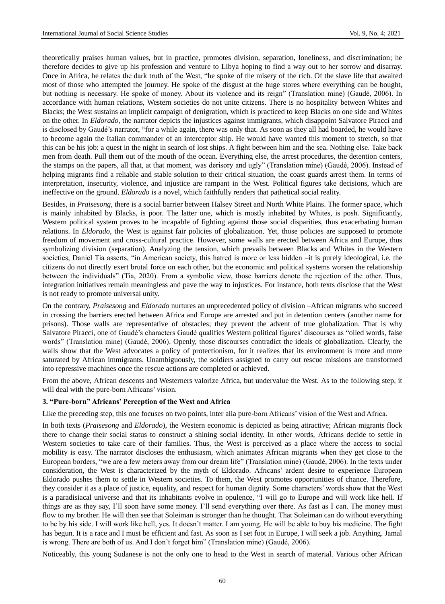theoretically praises human values, but in practice, promotes division, separation, loneliness, and discrimination; he therefore decides to give up his profession and venture to Libya hoping to find a way out to her sorrow and disarray. Once in Africa, he relates the dark truth of the West, "he spoke of the misery of the rich. Of the slave life that awaited most of those who attempted the journey. He spoke of the disgust at the huge stores where everything can be bought, but nothing is necessary. He spoke of money. About its violence and its reign" (Translation mine) (Gaudé, 2006). In accordance with human relations, Western societies do not unite citizens. There is no hospitality between Whites and Blacks; the West sustains an implicit campaign of denigration, which is practiced to keep Blacks on one side and Whites on the other. In *Eldorado*, the narrator depicts the injustices against immigrants, which disappoint Salvatore Piracci and is disclosed by Gaudé"s narrator, "for a while again, there was only that. As soon as they all had boarded, he would have to become again the Italian commander of an interceptor ship. He would have wanted this moment to stretch, so that this can be his job: a quest in the night in search of lost ships. A fight between him and the sea. Nothing else. Take back men from death. Pull them out of the mouth of the ocean. Everything else, the arrest procedures, the detention centers, the stamps on the papers, all that, at that moment, was derisory and ugly" (Translation mine) (Gaudé, 2006). Instead of helping migrants find a reliable and stable solution to their critical situation, the coast guards arrest them. In terms of interpretation, insecurity, violence, and injustice are rampant in the West. Political figures take decisions, which are ineffective on the ground. *Eldorado* is a novel, which faithfully renders that pathetical social reality.

Besides, in *Praisesong*, there is a social barrier between Halsey Street and North White Plains. The former space, which is mainly inhabited by Blacks, is poor. The latter one, which is mostly inhabited by Whites, is posh. Significantly, Western political system proves to be incapable of fighting against those social disparities, thus exacerbating human relations. In *Eldorado*, the West is against fair policies of globalization. Yet, those policies are supposed to promote freedom of movement and cross-cultural practice. However, some walls are erected between Africa and Europe, thus symbolizing division (separation). Analyzing the tension, which prevails between Blacks and Whites in the Western societies, Daniel Tia asserts, "in American society, this hatred is more or less hidden –it is purely ideological, i.e. the citizens do not directly exert brutal force on each other, but the economic and political systems worsen the relationship between the individuals" (Tia, 2020). From a symbolic view, those barriers denote the rejection of the other. Thus, integration initiatives remain meaningless and pave the way to injustices. For instance, both texts disclose that the West is not ready to promote universal unity.

On the contrary, *Praisesong* and *Eldorado* nurtures an unprecedented policy of division –African migrants who succeed in crossing the barriers erected between Africa and Europe are arrested and put in detention centers (another name for prisons). Those walls are representative of obstacles; they prevent the advent of true globalization. That is why Salvatore Piracci, one of Gaudé"s characters Gaudé qualifies Western political figures" discourses as "oiled words, false words" (Translation mine) (Gaudé, 2006). Openly, those discourses contradict the ideals of globalization. Clearly, the walls show that the West advocates a policy of protectionism, for it realizes that its environment is more and more saturated by African immigrants. Unambiguously, the soldiers assigned to carry out rescue missions are transformed into repressive machines once the rescue actions are completed or achieved.

From the above, African descents and Westerners valorize Africa, but undervalue the West. As to the following step, it will deal with the pure-born Africans' vision.

#### **3. "Pure-born" Africans' Perception of the West and Africa**

Like the preceding step, this one focuses on two points, inter alia pure-born Africans' vision of the West and Africa.

In both texts (*Praisesong* and *Eldorado*), the Western economic is depicted as being attractive; African migrants flock there to change their social status to construct a shining social identity. In other words, Africans decide to settle in Western societies to take care of their families. Thus, the West is perceived as a place where the access to social mobility is easy. The narrator discloses the enthusiasm, which animates African migrants when they get close to the European borders, "we are a few meters away from our dream life" (Translation mine) (Gaudé, 2006). In the texts under consideration, the West is characterized by the myth of Eldorado. Africans" ardent desire to experience European Eldorado pushes them to settle in Western societies. To them, the West promotes opportunities of chance. Therefore, they consider it as a place of justice, equality, and respect for human dignity. Some characters" words show that the West is a paradisiacal universe and that its inhabitants evolve in opulence, "I will go to Europe and will work like hell. If things are as they say, I"ll soon have some money. I"ll send everything over there. As fast as I can. The money must flow to my brother. He will then see that Soleiman is stronger than he thought. That Soleiman can do without everything to be by his side. I will work like hell, yes. It doesn"t matter. I am young. He will be able to buy his medicine. The fight has begun. It is a race and I must be efficient and fast. As soon as I set foot in Europe, I will seek a job. Anything. Jamal is wrong. There are both of us. And I don"t forget him" (Translation mine) (Gaudé, 2006).

Noticeably, this young Sudanese is not the only one to head to the West in search of material. Various other African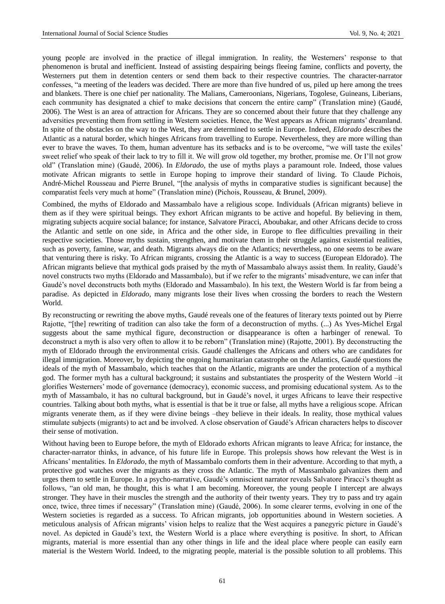young people are involved in the practice of illegal immigration. In reality, the Westerners" response to that phenomenon is brutal and inefficient. Instead of assisting despairing beings fleeing famine, conflicts and poverty, the Westerners put them in detention centers or send them back to their respective countries. The character-narrator confesses, "a meeting of the leaders was decided. There are more than five hundred of us, piled up here among the trees and blankets. There is one chief per nationality. The Malians, Cameroonians, Nigerians, Togolese, Guineans, Liberians, each community has designated a chief to make decisions that concern the entire camp" (Translation mine) (Gaudé, 2006). The West is an area of attraction for Africans. They are so concerned about their future that they challenge any adversities preventing them from settling in Western societies. Hence, the West appears as African migrants" dreamland. In spite of the obstacles on the way to the West, they are determined to settle in Europe. Indeed, *Eldorado* describes the Atlantic as a natural border, which hinges Africans from travelling to Europe. Nevertheless, they are more willing than ever to brave the waves. To them, human adventure has its setbacks and is to be overcome, "we will taste the exiles" sweet relief who speak of their lack to try to fill it. We will grow old together, my brother, promise me. Or I"ll not grow old" (Translation mine) (Gaudé, 2006). In *Eldorado*, the use of myths plays a paramount role. Indeed, those values motivate African migrants to settle in Europe hoping to improve their standard of living. To Claude Pichois, André-Michel Rousseau and Pierre Brunel, "[the analysis of myths in comparative studies is significant because] the comparatist feels very much at home" (Translation mine) (Pichois, Rousseau, & Brunel, 2009).

Combined, the myths of Eldorado and Massambalo have a religious scope. Individuals (African migrants) believe in them as if they were spiritual beings. They exhort African migrants to be active and hopeful. By believing in them, migrating subjects acquire social balance; for instance, Salvatore Piracci, Aboubakar, and other Africans decide to cross the Atlantic and settle on one side, in Africa and the other side, in Europe to flee difficulties prevailing in their respective societies. Those myths sustain, strengthen, and motivate them in their struggle against existential realities, such as poverty, famine, war, and death. Migrants always die on the Atlantics; nevertheless, no one seems to be aware that venturing there is risky. To African migrants, crossing the Atlantic is a way to success (European Eldorado). The African migrants believe that mythical gods praised by the myth of Massambalo always assist them. In reality, Gaudé"s novel constructs two myths (Eldorado and Massambalo), but if we refer to the migrants" misadventure, we can infer that Gaudé"s novel deconstructs both myths (Eldorado and Massambalo). In his text, the Western World is far from being a paradise. As depicted in *Eldorado*, many migrants lose their lives when crossing the borders to reach the Western World.

By reconstructing or rewriting the above myths, Gaudé reveals one of the features of literary texts pointed out by Pierre Rajotte, "[the] rewriting of tradition can also take the form of a deconstruction of myths. (...) As Yves-Michel Ergal suggests about the same mythical figure, deconstruction or disappearance is often a harbinger of renewal. To deconstruct a myth is also very often to allow it to be reborn" (Translation mine) (Rajotte, 2001). By deconstructing the myth of Eldorado through the environmental crisis. Gaudé challenges the Africans and others who are candidates for illegal immigration. Moreover, by depicting the ongoing humanitarian catastrophe on the Atlantics, Gaudé questions the ideals of the myth of Massambalo, which teaches that on the Atlantic, migrants are under the protection of a mythical god. The former myth has a cultural background; it sustains and substantiates the prosperity of the Western World –it glorifies Westerners" mode of governance (democracy), economic success, and promising educational system. As to the myth of Massambalo, it has no cultural background, but in Gaudé"s novel, it urges Africans to leave their respective countries. Talking about both myths, what is essential is that be it true or false, all myths have a religious scope. African migrants venerate them, as if they were divine beings –they believe in their ideals. In reality, those mythical values stimulate subjects (migrants) to act and be involved. A close observation of Gaudé"s African characters helps to discover their sense of motivation.

Without having been to Europe before, the myth of Eldorado exhorts African migrants to leave Africa; for instance, the character-narrator thinks, in advance, of his future life in Europe. This prolepsis shows how relevant the West is in Africans" mentalities. In *Eldorado*, the myth of Massambalo comforts them in their adventure. According to that myth, a protective god watches over the migrants as they cross the Atlantic. The myth of Massambalo galvanizes them and urges them to settle in Europe. In a psycho-narrative, Gaudé"s omniscient narrator reveals Salvatore Piracci"s thought as follows, "an old man, he thought, this is what I am becoming. Moreover, the young people I intercept are always stronger. They have in their muscles the strength and the authority of their twenty years. They try to pass and try again once, twice, three times if necessary" (Translation mine) (Gaudé, 2006). In some clearer terms, evolving in one of the Western societies is regarded as a success. To African migrants, job opportunities abound in Western societies. A meticulous analysis of African migrants' vision helps to realize that the West acquires a panegyric picture in Gaudé's novel. As depicted in Gaudé"s text, the Western World is a place where everything is positive. In short, to African migrants, material is more essential than any other things in life and the ideal place where people can easily earn material is the Western World. Indeed, to the migrating people, material is the possible solution to all problems. This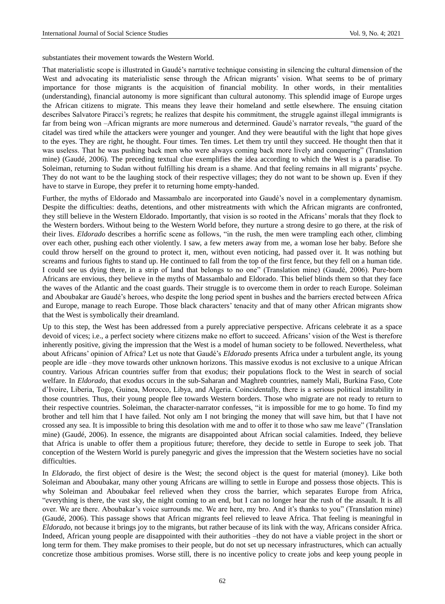substantiates their movement towards the Western World.

That materialistic scope is illustrated in Gaudé"s narrative technique consisting in silencing the cultural dimension of the West and advocating its materialistic sense through the African migrants' vision. What seems to be of primary importance for those migrants is the acquisition of financial mobility. In other words, in their mentalities (understanding), financial autonomy is more significant than cultural autonomy. This splendid image of Europe urges the African citizens to migrate. This means they leave their homeland and settle elsewhere. The ensuing citation describes Salvatore Piracci"s regrets; he realizes that despite his commitment, the struggle against illegal immigrants is far from being won –African migrants are more numerous and determined. Gaudé's narrator reveals, "the guard of the citadel was tired while the attackers were younger and younger. And they were beautiful with the light that hope gives to the eyes. They are right, he thought. Four times. Ten times. Let them try until they succeed. He thought then that it was useless. That he was pushing back men who were always coming back more lively and conquering" (Translation mine) (Gaudé, 2006). The preceding textual clue exemplifies the idea according to which the West is a paradise. To Soleiman, returning to Sudan without fulfilling his dream is a shame. And that feeling remains in all migrants" psyche. They do not want to be the laughing stock of their respective villages; they do not want to be shown up. Even if they have to starve in Europe, they prefer it to returning home empty-handed.

Further, the myths of Eldorado and Massambalo are incorporated into Gaudé"s novel in a complementary dynamism. Despite the difficulties: deaths, detentions, and other mistreatments with which the African migrants are confronted, they still believe in the Western Eldorado. Importantly, that vision is so rooted in the Africans" morals that they flock to the Western borders. Without being to the Western World before, they nurture a strong desire to go there, at the risk of their lives. *Eldorado* describes a horrific scene as follows, "in the rush, the men were trampling each other, climbing over each other, pushing each other violently. I saw, a few meters away from me, a woman lose her baby. Before she could throw herself on the ground to protect it, men, without even noticing, had passed over it. It was nothing but screams and furious fights to stand up. He continued to fall from the top of the first fence, but they fell on a human tide. I could see us dying there, in a strip of land that belongs to no one" (Translation mine) (Gaudé, 2006). Pure-born Africans are envious, they believe in the myths of Massambalo and Eldorado. This belief blinds them so that they face the waves of the Atlantic and the coast guards. Their struggle is to overcome them in order to reach Europe. Soleiman and Aboubakar are Gaudé"s heroes, who despite the long period spent in bushes and the barriers erected between Africa and Europe, manage to reach Europe. Those black characters" tenacity and that of many other African migrants show that the West is symbolically their dreamland.

Up to this step, the West has been addressed from a purely appreciative perspective. Africans celebrate it as a space devoid of vices; i.e., a perfect society where citizens make no effort to succeed. Africans' vision of the West is therefore inherently positive, giving the impression that the West is a model of human society to be followed. Nevertheless, what about Africans" opinion of Africa? Let us note that Gaudé"s *Eldorado* presents Africa under a turbulent angle, its young people are idle –they move towards other unknown horizons. This massive exodus is not exclusive to a unique African country. Various African countries suffer from that exodus; their populations flock to the West in search of social welfare. In *Eldorado*, that exodus occurs in the sub-Saharan and Maghreb countries, namely Mali, Burkina Faso, Cote d"Ivoire, Liberia, Togo, Guinea, Morocco, Libya, and Algeria. Coincidentally, there is a serious political instability in those countries. Thus, their young people flee towards Western borders. Those who migrate are not ready to return to their respective countries. Soleiman, the character-narrator confesses, "it is impossible for me to go home. To find my brother and tell him that I have failed. Not only am I not bringing the money that will save him, but that I have not crossed any sea. It is impossible to bring this desolation with me and to offer it to those who saw me leave" (Translation mine) (Gaudé, 2006). In essence, the migrants are disappointed about African social calamities. Indeed, they believe that Africa is unable to offer them a propitious future; therefore, they decide to settle in Europe to seek job. That conception of the Western World is purely panegyric and gives the impression that the Western societies have no social difficulties.

In *Eldorado*, the first object of desire is the West; the second object is the quest for material (money). Like both Soleiman and Aboubakar, many other young Africans are willing to settle in Europe and possess those objects. This is why Soleiman and Aboubakar feel relieved when they cross the barrier, which separates Europe from Africa, "everything is there, the vast sky, the night coming to an end, but I can no longer hear the rush of the assault. It is all over. We are there. Aboubakar's voice surrounds me. We are here, my bro. And it's thanks to you" (Translation mine) (Gaudé, 2006). This passage shows that African migrants feel relieved to leave Africa. That feeling is meaningful in *Eldorado*, not because it brings joy to the migrants, but rather because of its link with the way, Africans consider Africa. Indeed, African young people are disappointed with their authorities –they do not have a viable project in the short or long term for them. They make promises to their people, but do not set up necessary infrastructures, which can actually concretize those ambitious promises. Worse still, there is no incentive policy to create jobs and keep young people in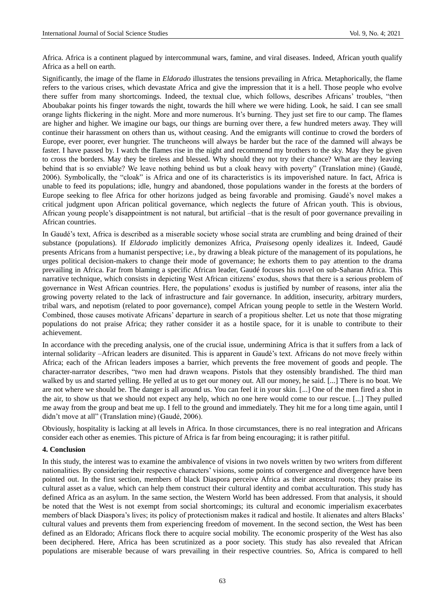Africa. Africa is a continent plagued by intercommunal wars, famine, and viral diseases. Indeed, African youth qualify Africa as a hell on earth.

Significantly, the image of the flame in *Eldorado* illustrates the tensions prevailing in Africa. Metaphorically, the flame refers to the various crises, which devastate Africa and give the impression that it is a hell. Those people who evolve there suffer from many shortcomings. Indeed, the textual clue, which follows, describes Africans" troubles, "then Aboubakar points his finger towards the night, towards the hill where we were hiding. Look, he said. I can see small orange lights flickering in the night. More and more numerous. It"s burning. They just set fire to our camp. The flames are higher and higher. We imagine our bags, our things are burning over there, a few hundred meters away. They will continue their harassment on others than us, without ceasing. And the emigrants will continue to crowd the borders of Europe, ever poorer, ever hungrier. The truncheons will always be harder but the race of the damned will always be faster. I have passed by. I watch the flames rise in the night and recommend my brothers to the sky. May they be given to cross the borders. May they be tireless and blessed. Why should they not try their chance? What are they leaving behind that is so enviable? We leave nothing behind us but a cloak heavy with poverty" (Translation mine) (Gaudé, 2006). Symbolically, the "cloak" is Africa and one of its characteristics is its impoverished nature. In fact, Africa is unable to feed its populations; idle, hungry and abandoned, those populations wander in the forests at the borders of Europe seeking to flee Africa for other horizons judged as being favorable and promising. Gaudé"s novel makes a critical judgment upon African political governance, which neglects the future of African youth. This is obvious, African young people"s disappointment is not natural, but artificial –that is the result of poor governance prevailing in African countries.

In Gaudé"s text, Africa is described as a miserable society whose social strata are crumbling and being drained of their substance (populations). If *Eldorado* implicitly demonizes Africa, *Praisesong* openly idealizes it. Indeed, Gaudé presents Africans from a humanist perspective; i.e., by drawing a bleak picture of the management of its populations, he urges political decision-makers to change their mode of governance; he exhorts them to pay attention to the drama prevailing in Africa. Far from blaming a specific African leader, Gaudé focuses his novel on sub-Saharan Africa. This narrative technique, which consists in depicting West African citizens" exodus, shows that there is a serious problem of governance in West African countries. Here, the populations" exodus is justified by number of reasons, inter alia the growing poverty related to the lack of infrastructure and fair governance. In addition, insecurity, arbitrary murders, tribal wars, and nepotism (related to poor governance), compel African young people to settle in the Western World. Combined, those causes motivate Africans" departure in search of a propitious shelter. Let us note that those migrating populations do not praise Africa; they rather consider it as a hostile space, for it is unable to contribute to their achievement.

In accordance with the preceding analysis, one of the crucial issue, undermining Africa is that it suffers from a lack of internal solidarity –African leaders are disunited. This is apparent in Gaudé"s text. Africans do not move freely within Africa; each of the African leaders imposes a barrier, which prevents the free movement of goods and people. The character-narrator describes, "two men had drawn weapons. Pistols that they ostensibly brandished. The third man walked by us and started yelling. He yelled at us to get our money out. All our money, he said. [...] There is no boat. We are not where we should be. The danger is all around us. You can feel it in your skin. [...] One of the men fired a shot in the air, to show us that we should not expect any help, which no one here would come to our rescue. [...] They pulled me away from the group and beat me up. I fell to the ground and immediately. They hit me for a long time again, until I didn"t move at all" (Translation mine) (Gaudé, 2006).

Obviously, hospitality is lacking at all levels in Africa. In those circumstances, there is no real integration and Africans consider each other as enemies. This picture of Africa is far from being encouraging; it is rather pitiful.

#### **4. Conclusion**

In this study, the interest was to examine the ambivalence of visions in two novels written by two writers from different nationalities. By considering their respective characters" visions, some points of convergence and divergence have been pointed out. In the first section, members of black Diaspora perceive Africa as their ancestral roots; they praise its cultural asset as a value, which can help them construct their cultural identity and combat acculturation. This study has defined Africa as an asylum. In the same section, the Western World has been addressed. From that analysis, it should be noted that the West is not exempt from social shortcomings; its cultural and economic imperialism exacerbates members of black Diaspora"s lives; its policy of protectionism makes it radical and hostile. It alienates and alters Blacks" cultural values and prevents them from experiencing freedom of movement. In the second section, the West has been defined as an Eldorado; Africans flock there to acquire social mobility. The economic prosperity of the West has also been deciphered. Here, Africa has been scrutinized as a poor society. This study has also revealed that African populations are miserable because of wars prevailing in their respective countries. So, Africa is compared to hell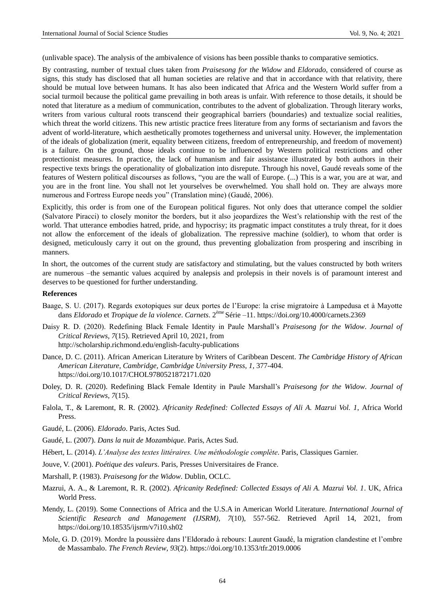(unlivable space). The analysis of the ambivalence of visions has been possible thanks to comparative semiotics.

By contrasting, number of textual clues taken from *Praisesong for the Widow* and *Eldorado*, considered of course as signs, this study has disclosed that all human societies are relative and that in accordance with that relativity, there should be mutual love between humans. It has also been indicated that Africa and the Western World suffer from a social turmoil because the political game prevailing in both areas is unfair. With reference to those details, it should be noted that literature as a medium of communication, contributes to the advent of globalization. Through literary works, writers from various cultural roots transcend their geographical barriers (boundaries) and textualize social realities, which threat the world citizens. This new artistic practice frees literature from any forms of sectarianism and favors the advent of world-literature, which aesthetically promotes togetherness and universal unity. However, the implementation of the ideals of globalization (merit, equality between citizens, freedom of entrepreneurship, and freedom of movement) is a failure. On the ground, those ideals continue to be influenced by Western political restrictions and other protectionist measures. In practice, the lack of humanism and fair assistance illustrated by both authors in their respective texts brings the operationality of globalization into disrepute. Through his novel, Gaudé reveals some of the features of Western political discourses as follows, "you are the wall of Europe. (...) This is a war, you are at war, and you are in the front line. You shall not let yourselves be overwhelmed. You shall hold on. They are always more numerous and Fortress Europe needs you" (Translation mine) (Gaudé, 2006).

Explicitly, this order is from one of the European political figures. Not only does that utterance compel the soldier (Salvatore Piracci) to closely monitor the borders, but it also jeopardizes the West"s relationship with the rest of the world. That utterance embodies hatred, pride, and hypocrisy; its pragmatic impact constitutes a truly threat, for it does not allow the enforcement of the ideals of globalization. The repressive machine (soldier), to whom that order is designed, meticulously carry it out on the ground, thus preventing globalization from prospering and inscribing in manners.

In short, the outcomes of the current study are satisfactory and stimulating, but the values constructed by both writers are numerous –the semantic values acquired by analepsis and prolepsis in their novels is of paramount interest and deserves to be questioned for further understanding.

#### **References**

- Baage, S. U. (2017). Regards exotopiques sur deux portes de l"Europe: la crise migratoire à Lampedusa et à Mayotte dans *Eldorado* et *Tropique de la violence*. *Carnets*. 2ème Série –11. https://doi.org/10.4000/carnets.2369
- Daisy R. D. (2020). Redefining Black Female Identity in Paule Marshall"s *Praisesong for the Widow*. *Journal of Critical Reviews*, *7*(15). Retrieved April 10, 2021, from http://scholarship.richmond.edu/english-faculty-publications
- Dance, D. C. (2011). African American Literature by Writers of Caribbean Descent. *The Cambridge History of African American Literature*, *Cambridge, Cambridge University Press, 1,* 377-404. https://doi.org/10.1017/CHOL9780521872171.020
- Doley, D. R. (2020). Redefining Black Female Identity in Paule Marshall"s *Praisesong for the Widow*. *Journal of Critical Reviews*, *7*(15).
- Falola, T., & Laremont, R. R. (2002). *Africanity Redefined: Collected Essays of Ali A. Mazrui Vol. 1*, Africa World Press.
- Gaudé, L. (2006). *Eldorado*. Paris, Actes Sud.
- Gaudé, L. (2007). *Dans la nuit de Mozambique*. Paris, Actes Sud.

Hébert, L. (2014). *L'Analyse des textes littéraires. Une méthodologie complète*. Paris, Classiques Garnier.

- Jouve, V. (2001). *Poétique des valeurs*. Paris, Presses Universitaires de France.
- Marshall, P. (1983). *Praisesong for the Widow*. Dublin, OCLC.
- Mazrui, A. A., & Laremont, R. R. (2002). *Africanity Redefined: Collected Essays of Ali A. Mazrui Vol. 1*. UK, Africa World Press.
- Mendy, L. (2019). Some Connections of Africa and the U.S.A in American World Literature. *International Journal of Scientific Research and Management (IJSRM)*, *7*(10), 557-562. Retrieved April 14, 2021, from https://doi.org/10.18535/ijsrm/v7i10.sh02
- Mole, G. D. (2019). Mordre la poussière dans l"Eldorado à rebours: Laurent Gaudé, la migration clandestine et l"ombre de Massambalo. *The French Review*, *93*(2). https://doi.org/10.1353/tfr.2019.0006